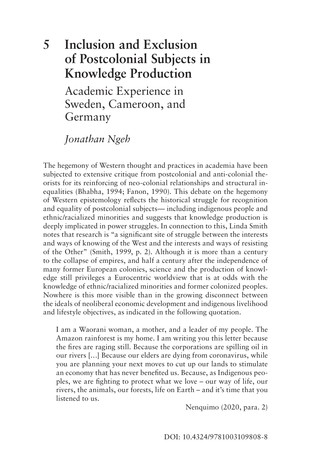# **5 Inclusion and Exclusion of Postcolonial Subjects in Knowledge Production**

Academic Experience in Sweden, Cameroon, and Germany

*Jonathan Ngeh* 

The hegemony of Western thought and practices in academia have been subjected to extensive critique from postcolonial and anti-colonial theorists for its reinforcing of neo-colonial relationships and structural inequalities (Bhabha, 1994; Fanon, 1990). This debate on the hegemony of Western epistemology reflects the historical struggle for recognition and equality of postcolonial subjects— including indigenous people and ethnic/racialized minorities and suggests that knowledge production is deeply implicated in power struggles. In connection to this, Linda Smith notes that research is "a significant site of struggle between the interests and ways of knowing of the West and the interests and ways of resisting of the Other" (Smith, 1999, p. 2). Although it is more than a century to the collapse of empires, and half a century after the independence of many former European colonies, science and the production of knowledge still privileges a Eurocentric worldview that is at odds with the knowledge of ethnic/racialized minorities and former colonized peoples. Nowhere is this more visible than in the growing disconnect between the ideals of neoliberal economic development and indigenous livelihood and lifestyle objectives, as indicated in the following quotation.

I am a Waorani woman, a mother, and a leader of my people. The Amazon rainforest is my home. I am writing you this letter because the fires are raging still. Because the corporations are spilling oil in our rivers […] Because our elders are dying from coronavirus, while you are planning your next moves to cut up our lands to stimulate an economy that has never benefited us. Because, as Indigenous peoples, we are fighting to protect what we love – our way of life, our rivers, the animals, our forests, life on Earth – and it's time that you listened to us.

Nenquimo (2020, para. 2)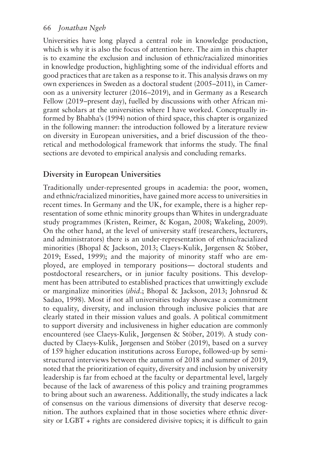Universities have long played a central role in knowledge production, which is why it is also the focus of attention here. The aim in this chapter is to examine the exclusion and inclusion of ethnic/racialized minorities in knowledge production, highlighting some of the individual efforts and good practices that are taken as a response to it. This analysis draws on my own experiences in Sweden as a doctoral student (2005–2011), in Cameroon as a university lecturer (2016–2019), and in Germany as a Research Fellow (2019–present day), fuelled by discussions with other African migrant scholars at the universities where I have worked. Conceptually informed by Bhabha's (1994) notion of third space, this chapter is organized in the following manner: the introduction followed by a literature review on diversity in European universities, and a brief discussion of the theoretical and methodological framework that informs the study. The final sections are devoted to empirical analysis and concluding remarks.

# **Diversity in European Universities**

Traditionally under-represented groups in academia: the poor, women, and ethnic/racialized minorities, have gained more access to universities in recent times. In Germany and the UK, for example, there is a higher representation of some ethnic minority groups than Whites in undergraduate study programmes (Kristen, Reimer, & Kogan, 2008; Wakeling, 2009). On the other hand, at the level of university staff (researchers, lecturers, and administrators) there is an under-representation of ethnic/racialized minorities (Bhopal & Jackson, 2013; Claeys-Kulik, Jørgensen & Stöber, 2019; Essed, 1999); and the majority of minority staff who are employed, are employed in temporary positions— doctoral students and postdoctoral researchers, or in junior faculty positions. This development has been attributed to established practices that unwittingly exclude or marginalize minorities (*ibid*.; Bhopal & Jackson, 2013; Johnsrud & Sadao, 1998). Most if not all universities today showcase a commitment to equality, diversity, and inclusion through inclusive policies that are clearly stated in their mission values and goals. A political commitment to support diversity and inclusiveness in higher education are commonly encountered (see Claeys-Kulik, Jørgensen & Stöber, 2019). A study conducted by Claeys-Kulik, Jørgensen and Stöber (2019), based on a survey of 159 higher education institutions across Europe, followed-up by semistructured interviews between the autumn of 2018 and summer of 2019, noted that the prioritization of equity, diversity and inclusion by university leadership is far from echoed at the faculty or departmental level, largely because of the lack of awareness of this policy and training programmes to bring about such an awareness. Additionally, the study indicates a lack of consensus on the various dimensions of diversity that deserve recognition. The authors explained that in those societies where ethnic diversity or LGBT + rights are considered divisive topics; it is difficult to gain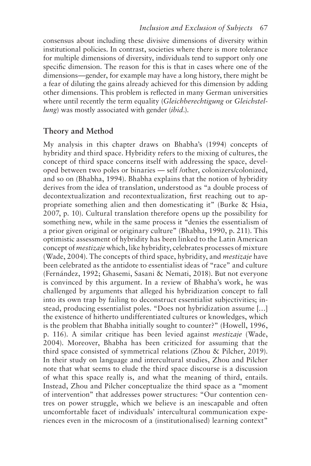consensus about including these divisive dimensions of diversity within institutional policies. In contrast, societies where there is more tolerance for multiple dimensions of diversity, individuals tend to support only one specific dimension. The reason for this is that in cases where one of the dimensions—gender, for example may have a long history, there might be a fear of diluting the gains already achieved for this dimension by adding other dimensions. This problem is reflected in many German universities where until recently the term equality (*Gleichberechtigung* or *Gleichstellung*) was mostly associated with gender (*ibid*.).

## **Theory and Method**

My analysis in this chapter draws on Bhabha's (1994) concepts of hybridity and third space. Hybridity refers to the mixing of cultures, the concept of third space concerns itself with addressing the space, developed between two poles or binaries — self /other, colonizers/colonized, and so on (Bhabha, 1994). Bhabha explains that the notion of hybridity derives from the idea of translation, understood as "a double process of decontextualization and recontextualization, first reaching out to appropriate something alien and then domesticating it" (Burke & Hsia, 2007, p. 10). Cultural translation therefore opens up the possibility for something new, while in the same process it "denies the essentialism of a prior given original or originary culture" (Bhabha, 1990, p. 211). This optimistic assessment of hybridity has been linked to the Latin American concept of *mestizaje* which, like hybridity, celebrates processes of mixture (Wade, 2004). The concepts of third space, hybridity, and *mestizaje* have been celebrated as the antidote to essentialist ideas of "race" and culture (Fernández, 1992; Ghasemi, Sasani & Nemati, 2018). But not everyone is convinced by this argument. In a review of Bhabha's work, he was challenged by arguments that alleged his hybridization concept to fall into its own trap by failing to deconstruct essentialist subjectivities; instead, producing essentialist poles. "Does not hybridization assume […] the existence of hitherto undifferentiated cultures or knowledges, which is the problem that Bhabha initially sought to counter?" (Howell, 1996, p. 116). A similar critique has been levied against *mestizaje* (Wade, 2004). Moreover, Bhabha has been criticized for assuming that the third space consisted of symmetrical relations (Zhou & Pilcher, 2019). In their study on language and intercultural studies, Zhou and Pilcher note that what seems to elude the third space discourse is a discussion of what this space really is, and what the meaning of third, entails. Instead, Zhou and Pilcher conceptualize the third space as a "moment of intervention" that addresses power structures: "Our contention centres on power struggle, which we believe is an inescapable and often uncomfortable facet of individuals' intercultural communication experiences even in the microcosm of a (institutionalised) learning context"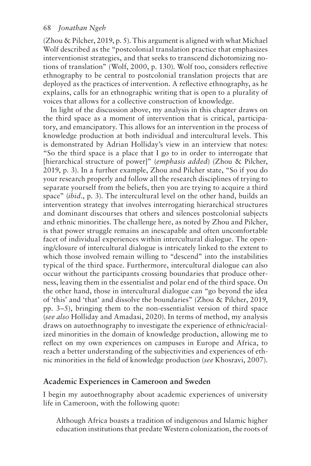(Zhou & Pilcher, 2019, p. 5). This argument is aligned with what Michael Wolf described as the "postcolonial translation practice that emphasizes interventionist strategies, and that seeks to transcend dichotomizing notions of translation" (Wolf, 2000, p. 130). Wolf too, considers reflective ethnography to be central to postcolonial translation projects that are deployed as the practices of intervention. A reflective ethnography, as he explains, calls for an ethnographic writing that is open to a plurality of voices that allows for a collective construction of knowledge.

In light of the discussion above, my analysis in this chapter draws on the third space as a moment of intervention that is critical, participatory, and emancipatory. This allows for an intervention in the process of knowledge production at both individual and intercultural levels. This is demonstrated by Adrian Holliday's view in an interview that notes: "So the third space is a place that I go to in order to interrogate that [hierarchical structure of power]" (*emphasis added*) (Zhou & Pilcher, 2019, p. 3). In a further example, Zhou and Pilcher state, "So if you do your research properly and follow all the research disciplines of trying to separate yourself from the beliefs, then you are trying to acquire a third space" (*ibid*., p. 3). The intercultural level on the other hand, builds an intervention strategy that involves interrogating hierarchical structures and dominant discourses that others and silences postcolonial subjects and ethnic minorities. The challenge here, as noted by Zhou and Pilcher, is that power struggle remains an inescapable and often uncomfortable facet of individual experiences within intercultural dialogue. The opening/closure of intercultural dialogue is intricately linked to the extent to which those involved remain willing to "descend" into the instabilities typical of the third space. Furthermore, intercultural dialogue can also occur without the participants crossing boundaries that produce otherness, leaving them in the essentialist and polar end of the third space. On the other hand, those in intercultural dialogue can "go beyond the idea of 'this' and 'that' and dissolve the boundaries" (Zhou & Pilcher, 2019, pp. 3–5), bringing them to the non-essentialist version of third space (*see also* Holliday and Amadasi, 2020). In terms of method, my analysis draws on autoethnography to investigate the experience of ethnic/racialized minorities in the domain of knowledge production, allowing me to reflect on my own experiences on campuses in Europe and Africa, to reach a better understanding of the subjectivities and experiences of ethnic minorities in the field of knowledge production (*see* Khosravi, 2007).

## **Academic Experiences in Cameroon and Sweden**

I begin my autoethnography about academic experiences of university life in Cameroon, with the following quote:

Although Africa boasts a tradition of indigenous and Islamic higher education institutions that predate Western colonization, the roots of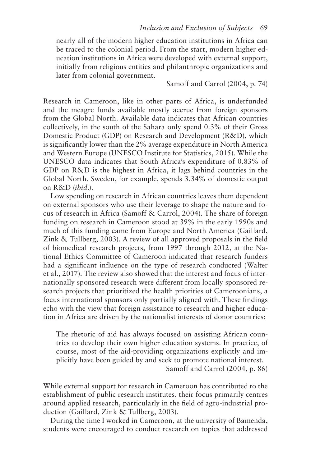nearly all of the modern higher education institutions in Africa can be traced to the colonial period. From the start, modern higher education institutions in Africa were developed with external support, initially from religious entities and philanthropic organizations and later from colonial government.

Samoff and Carrol (2004, p. 74)

Research in Cameroon, like in other parts of Africa, is underfunded and the meagre funds available mostly accrue from foreign sponsors from the Global North. Available data indicates that African countries collectively, in the south of the Sahara only spend 0.3% of their Gross Domestic Product (GDP) on Research and Development (R&D), which is significantly lower than the 2% average expenditure in North A merica and Western Europe (UNESCO Institute for Statistics, 2015). While the UNESCO data indicates that South Africa's expenditure of 0.83% of GDP on R&D is the highest in Africa, it lags behind countries in the Global North. Sweden, for example, spends 3.34% of domestic output on R&D (*ibid*.).

Low spending on research in African countries leaves them dependent on external sponsors who use their leverage to shape the nature and focus of research in Africa (Samoff & Carrol, 2004). The share of foreign funding on research in Cameroon stood at 39% in the early 1990s and much of this funding came from Europe and North America (Gaillard, Zink & Tullberg, 2003). A review of all approved proposals in the field of biomedical research projects, from 1997 through 2012, at the National Ethics Committee of Cameroon indicated that research funders had a significant influence on the type of research conducted (Walter et al., 2017). The review also showed that the interest and focus of internationally sponsored research were different from locally sponsored research projects that prioritized the health priorities of Cameroonians, a focus international sponsors only partially aligned with. These findings echo with the view that foreign assistance to research and higher education in Africa are driven by the nationalist interests of donor countries:

The rhetoric of aid has always focused on assisting African countries to develop their own higher education systems. In practice, of course, most of the aid-providing organizations explicitly and implicitly have been guided by and seek to promote national interest. Samoff and Carrol (2004, p. 86)

While external support for research in Cameroon has contributed to the establishment of public research institutes, their focus primarily centres around applied research, particularly in the field of agro-industrial production (Gaillard, Zink & Tullberg, 2003).

During the time I worked in Cameroon, at the university of Bamenda, students were encouraged to conduct research on topics that addressed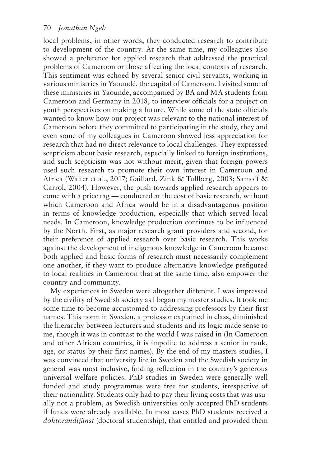local problems, in other words, they conducted research to contribute to development of the country. At the same time, my colleagues also showed a preference for applied research that addressed the practical problems of Cameroon or those affecting the local contexts of research. This sentiment was echoed by several senior civil servants, working in various ministries in Yaoundé, the capital of Cameroon. I visited some of these ministries in Yaounde, accompanied by BA and MA students from Cameroon and Germany in 2018, to interview officials for a project on youth perspectives on making a future. While some of the state officials wanted to know how our project was relevant to the national interest of Cameroon before they committed to participating in the study, they and even some of my colleagues in Cameroon showed less appreciation for research that had no direct relevance to local challenges. They expressed scepticism about basic research, especially linked to foreign institutions, and such scepticism was not without merit, given that foreign powers used such research to promote their own interest in Cameroon and Africa (Walter et al., 2017; Gaillard, Zink & Tullberg, 2003; Samoff & Carrol, 2004). However, the push towards applied research appears to come with a price tag — conducted at the cost of basic research, without which Cameroon and Africa would be in a disadvantageous position in terms of knowledge production, especially that which served local needs. In Cameroon, knowledge production continues to be influenced by the North. First, as major research grant providers and second, for their preference of applied research over basic research. This works against the development of indigenous knowledge in Cameroon because both applied and basic forms of research must necessarily complement one another, if they want to produce alternative knowledge prefigured to local realities in Cameroon that at the same time, also empower the country and community.

My experiences in Sweden were altogether different. I was impressed by the civility of Swedish society as I began my master studies. It took me some time to become accustomed to addressing professors by their first names. This norm in Sweden, a professor explained in class, diminished the hierarchy between lecturers and students and its logic made sense to me, though it was in contrast to the world I was raised in (In Cameroon and other African countries, it is impolite to address a senior in rank, age, or status by their first names). By the end of my masters studies, I was convinced that university life in Sweden and the Swedish society in general was most inclusive, finding reflection in the country's generous universal welfare policies. PhD studies in Sweden were generally well funded and study programmes were free for students, irrespective of their nationality. Students only had to pay their living costs that was usually not a problem, as Swedish universities only accepted PhD students if funds were already available. In most cases PhD students received a *doktorandtjänst* (doctoral studentship), that entitled and provided them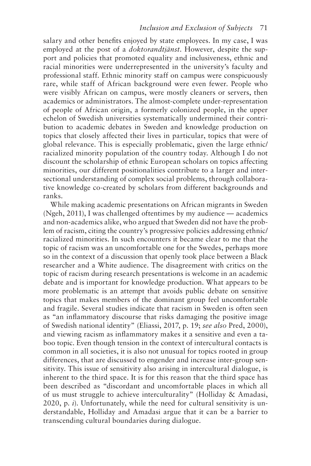salary and other benefits enjoyed by state employees. In my case, I was employed at the post of a *doktorandtjänst*. However, despite the support and policies that promoted equality and inclusiveness, ethnic and racial minorities were underrepresented in the university's faculty and professional staff. Ethnic minority staff on campus were conspicuously rare, while staff of African background were even fewer. People who were visibly African on campus, were mostly cleaners or servers, then academics or administrators. The almost-complete under-representation of people of African origin, a formerly colonized people, in the upper echelon of Swedish universities systematically undermined their contribution to academic debates in Sweden and knowledge production on topics that closely affected their lives in particular, topics that were of global relevance. This is especially problematic, given the large ethnic/ racialized minority population of the country today. Although I do not discount the scholarship of ethnic European scholars on topics affecting minorities, our different positionalities contribute to a larger and intersectional understanding of complex social problems, through collaborative knowledge co-created by scholars from different backgrounds and ranks.

While making academic presentations on African migrants in Sweden (Ngeh, 2011), I was challenged oftentimes by my audience — academics and non-academics alike, who argued that Sweden did not have the problem of racism, citing the country's progressive policies addressing ethnic/ racialized minorities. In such encounters it became clear to me that the topic of racism was an uncomfortable one for the Swedes, perhaps more so in the context of a discussion that openly took place between a Black researcher and a White audience. The disagreement with critics on the topic of racism during research presentations is welcome in an academic debate and is important for knowledge production. What appears to be more problematic is an attempt that avoids public debate on sensitive topics that makes members of the dominant group feel uncomfortable and fragile. Several studies indicate that racism in Sweden is often seen as "an inflammatory discourse that risks damaging the positive image of Swedish national identity" (Eliassi, 2017, p. 19; *see also* Pred, 2000), and viewing racism as inflammatory makes it a sensitive and even a taboo topic. Even though tension in the context of intercultural contacts is common in all societies, it is also not unusual for topics rooted in group differences, that are discussed to engender and increase inter-group sensitivity. This issue of sensitivity also arising in intercultural dialogue, is inherent to the third space. It is for this reason that the third space has been described as "discordant and uncomfortable places in which all of us must struggle to achieve interculturality" (Holliday & Amadasi, 2020, p. *i*). Unfortunately, while the need for cultural sensitivity is understandable, Holliday and Amadasi argue that it can be a barrier to transcending cultural boundaries during dialogue.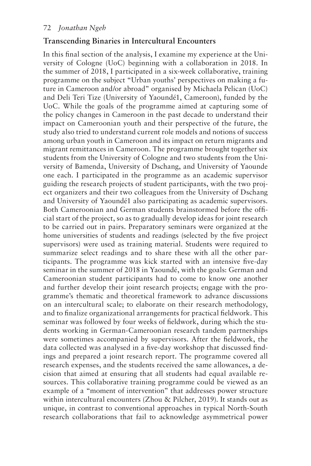#### **Transcending Binaries in Intercultural Encounters**

In this final section of the analysis, I examine my experience at the University of Cologne (UoC) beginning with a collaboration in 2018. In the summer of 2018, I participated in a six-week collaborative, training programme on the subject "Urban youths' perspectives on making a future in Cameroon and/or abroad" organised by Michaela Pelican (UoC) and Deli Teri Tize (University of Yaoundé1, Cameroon), funded by the UoC. While the goals of the programme aimed at capturing some of the policy changes in Cameroon in the past decade to understand their impact on Cameroonian youth and their perspective of the future, the study also tried to understand current role models and notions of success among urban youth in Cameroon and its impact on return migrants and migrant remittances in Cameroon. The programme brought together six students from the University of Cologne and two students from the University of Bamenda, University of Dschang, and University of Yaounde one each. I participated in the programme as an academic supervisor guiding the research projects of student participants, with the two project organizers and their two colleagues from the University of Dschang and University of Yaoundé1 also participating as academic supervisors. Both Cameroonian and German students brainstormed before the official start of the project, so as to gradually develop ideas for joint research to be carried out in pairs. Preparatory seminars were organized at the home universities of students and readings (selected by the five project supervisors) were used as training material. Students were required to summarize select readings and to share these with all the other participants. The programme was kick started with an intensive five-day seminar in the summer of 2018 in Yaoundé, with the goals: German and Cameroonian student participants had to come to know one another and further develop their joint research projects; engage with the programme's thematic and theoretical framework to advance discussions on an intercultural scale; to elaborate on their research methodology, and to finalize organizational arrangements for practical fieldwork. This seminar was followed by four weeks of fieldwork, during which the students working in German-Cameroonian research tandem partnerships were sometimes accompanied by supervisors. After the fieldwork, the data collected was analysed in a five-day workshop that discussed findings and prepared a joint research report. The programme covered all research expenses, and the students received the same allowances, a decision that aimed at ensuring that all students had equal available resources. This collaborative training programme could be viewed as an example of a "moment of intervention" that addresses power structure within intercultural encounters (Zhou & Pilcher, 2019). It stands out as unique, in contrast to conventional approaches in typical North-South research collaborations that fail to acknowledge asymmetrical power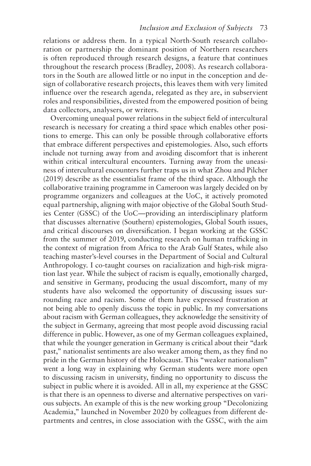relations or address them. In a typical North-South research collaboration or partnership the dominant position of Northern researchers is often reproduced through research designs, a feature that continues throughout the research process (Bradley, 2008). As research collaborators in the South are allowed little or no input in the conception and design of collaborative research projects, this leaves them with very limited influence over the research agenda, relegated as they are, in subservient roles and responsibilities, divested from the empowered position of being data collectors, analysers, or writers.

Overcoming unequal power relations in the subject field of intercultural research is necessary for creating a third space which enables other positions to emerge. This can only be possible through collaborative efforts that embrace different perspectives and epistemologies. Also, such efforts include not turning away from and avoiding discomfort that is inherent within critical intercultural encounters. Turning away from the uneasiness of intercultural encounters further traps us in what Zhou and Pilcher (2019) describe as the essentialist frame of the third space. Although the collaborative training programme in Cameroon was largely decided on by programme organizers and colleagues at the UoC, it actively promoted equal partnership, aligning with major objective of the Global South Studies Center (GSSC) of the UoC—providing an interdisciplinary platform that discusses alternative (Southern) epistemologies, Global South issues, and critical discourses on diversification. I began working at the GSSC from the summer of 2019, conducting research on human trafficking in the context of migration from Africa to the Arab Gulf States, while also teaching master's-level courses in the Department of Social and Cultural Anthropology. I co-taught courses on racialization and high-risk migration last year. While the subject of racism is equally, emotionally charged, and sensitive in Germany, producing the usual discomfort, many of my students have also welcomed the opportunity of discussing issues surrounding race and racism. Some of them have expressed frustration at not being able to openly discuss the topic in public. In my conversations about racism with German colleagues, they acknowledge the sensitivity of the subject in Germany, agreeing that most people avoid discussing racial difference in public. However, as one of my German colleagues explained, that while the younger generation in Germany is critical about their "dark past," nationalist sentiments are also weaker among them, as they find no pride in the German history of the Holocaust. This "weaker nationalism" went a long way in explaining why German students were more open to discussing racism in university, finding no opportunity to discuss the subject in public where it is avoided. All in all, my experience at the GSSC is that there is an openness to diverse and alternative perspectives on various subjects. An example of this is the new working group "Decolonizing Academia," launched in November 2020 by colleagues from different departments and centres, in close association with the GSSC, with the aim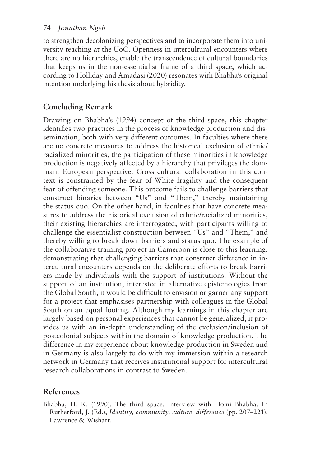to strengthen decolonizing perspectives and to incorporate them into university teaching at the UoC. Openness in intercultural encounters where there are no hierarchies, enable the transcendence of cultural boundaries that keeps us in the non-essentialist frame of a third space, which according to Holliday and Amadasi (2020) resonates with Bhabha's original intention underlying his thesis about hybridity.

# **Concluding Remark**

Drawing on Bhabha's (1994) concept of the third space, this chapter identifies two practices in the process of knowledge production and dissemination, both with very different outcomes. In faculties where there are no concrete measures to address the historical exclusion of ethnic/ racialized minorities, the participation of these minorities in knowledge production is negatively affected by a hierarchy that privileges the dominant European perspective. Cross cultural collaboration in this context is constrained by the fear of White fragility and the consequent fear of offending someone. This outcome fails to challenge barriers that construct binaries between "Us" and "Them," thereby maintaining the status quo. On the other hand, in faculties that have concrete measures to address the historical exclusion of ethnic/racialized minorities, their existing hierarchies are interrogated, with participants willing to challenge the essentialist construction between "Us" and "Them," and thereby willing to break down barriers and status quo. The example of the collaborative training project in Cameroon is close to this learning, demonstrating that challenging barriers that construct difference in intercultural encounters depends on the deliberate efforts to break barriers made by individuals with the support of institutions. Without the support of an institution, interested in alternative epistemologies from the Global South, it would be difficult to envision or garner any support for a project that emphasises partnership with colleagues in the Global South on an equal footing. Although my learnings in this chapter are largely based on personal experiences that cannot be generalized, it provides us with an in-depth understanding of the exclusion/inclusion of postcolonial subjects within the domain of knowledge production. The difference in my experience about knowledge production in Sweden and in Germany is also largely to do with my immersion within a research network in Germany that receives institutional support for intercultural research collaborations in contrast to Sweden.

# **References**

Bhabha, H. K. (1990). The third space. Interview with Homi Bhabha. In Rutherford, J. (Ed.), *Identity, community, culture, difference* (pp. 207–221). Lawrence & Wishart.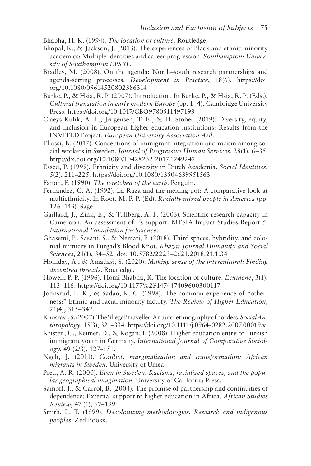Bhabha, H. K. (1994). *The location of culture.* Routledge.

- Bhopal, K., & Jackson, J. (2013). The experiences of Black and ethnic minority academics: Multiple identities and career progression. *Southampton: University of Southampton EPSRC*.
- Bradley, M. (2008). On the agenda: North–south research partnerships and agenda-setting processes. *Development in Practice*, 18(6). [https://doi.](https://doi.org/10.1080/09614520802386314) [org/10.1080/09614520802386314](https://doi.org/10.1080/09614520802386314)
- Burke, P., & Hsia, R. P. (2007). Introduction. In Burke, P., & Hsia, R. P. (Eds.), *Cultural translation in early modern Europe* (pp. 1–4). Cambridge University Press.<https://doi.org/10.1017/CBO9780511497193>
- Claeys-Kulik, A. L., Jørgensen, T. E., & H. Stöber (2019). Diversity, equity, and inclusion in European higher education institutions: Results from the INVITED Project. *European University Association Asil.*
- Eliassi, B. (2017). Conceptions of immigrant integration and racism among social workers in Sweden. *Journal of Progressive Human Services*, 28(1), 6–35. <http://dx.doi.org/10.1080/10428232.2017.1249242>
- Essed, P. (1999). Ethnicity and diversity in Dutch Academia. *Social Identities*, 5(2), 211–225.<https://doi.org/10.1080/13504639951563>
- Fanon, F. (1990). *The wretched of the earth*. Penguin.
- Fernández, C. A. (1992). La Raza and the melting pot: A comparative look at multiethnicity. In Root, M. P. P. (Ed), *Racially mixed people in America* (pp. 126–143). Sage.
- Gaillard, J., Zink, E., & Tullberg, A. F. (2003). Scientific research capacity in Cameroon: An assessment of ifs support. MESIA Impact Studies Report 5. *International Foundation for Science.*
- Ghasemi, P., Sasani, S., & Nemati, F. (2018). Third spaces, hybridity, and colonial mimicry in Furgad's Blood Knot. *Khazar Journal Humanity and Social Sciences*, 21(1), 34–52. [doi: 10.5782/2223–2621.2018.21.1.34](https://doi.org/10.5782/2223%E2%80%932621.2018.21.1.34)
- Holliday, A., & Amadasi, S. (2020). *Making sense of the intercultural: Finding decentred threads*. Routledge.
- Howell, P. P. (1996). Homi Bhabha, K. The location of culture. *Ecumene*, 3(1), 113–116.<https://doi.org/10.1177%2F147447409600300117>
- Johnsrud, L. K., & Sadao, K. C. (1998). The common experience of "otherness:" Ethnic and racial minority faculty. *The Review of Higher Education*, 21(4), 315–342.
- Khosravi, S. (2007). The 'illegal' traveller: An auto-ethnography of borders. *Social Anthropology*, 15(3), 321–334.<https://doi.org/10.1111/j.0964-0282.2007.00019.x>
- Kristen, C., Reimer. D., & Kogan, I. (2008). Higher education entry of Turkish immigrant youth in Germany. *International Journal of Comparative Sociology*, 49 (2/3), 127–151.
- Ngeh, J. (2011). *Conflict, marginalization and transformation: African migrants in Sweden*. University of Umeå.
- Pred, A. R. (2000). *Even in Sweden: Racisms, racialized spaces, and the popular geographical imagination*. University of California Press.
- Samoff, J., & Carrol, B. (2004). The promise of partnership and continuities of dependence: External support to higher education in Africa. *African Studies Review*, 47 (1), 67–199.
- Smith, L. T. (1999). *Decolonizing methodologies: Research and indigenous peoples*. Zed Books.